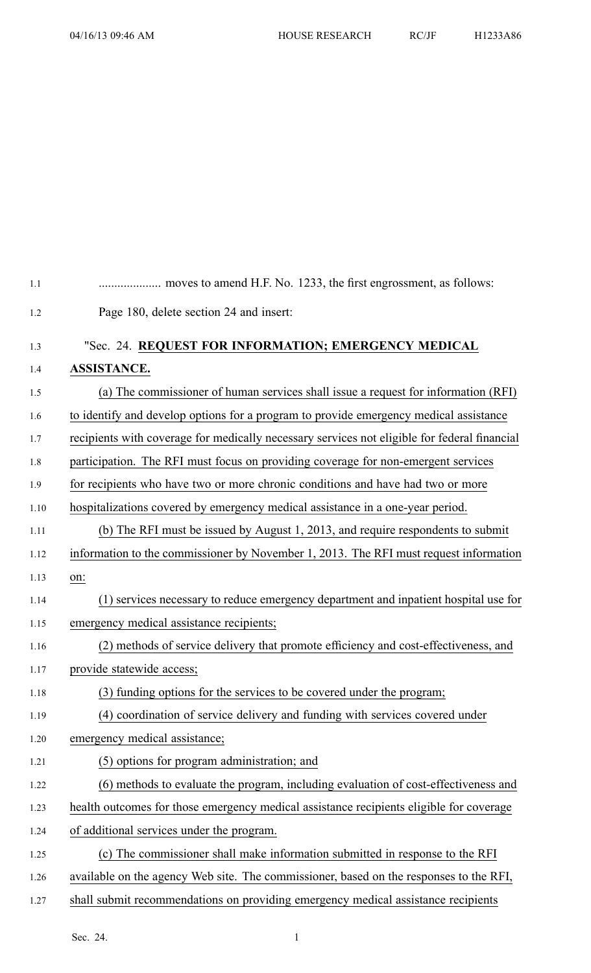| 1.1  |                                                                                              |
|------|----------------------------------------------------------------------------------------------|
| 1.2  | Page 180, delete section 24 and insert:                                                      |
| 1.3  | "Sec. 24. REQUEST FOR INFORMATION; EMERGENCY MEDICAL                                         |
| 1.4  | <b>ASSISTANCE.</b>                                                                           |
| 1.5  | (a) The commissioner of human services shall issue a request for information (RFI)           |
| 1.6  | to identify and develop options for a program to provide emergency medical assistance        |
| 1.7  | recipients with coverage for medically necessary services not eligible for federal financial |
| 1.8  | participation. The RFI must focus on providing coverage for non-emergent services            |
| 1.9  | for recipients who have two or more chronic conditions and have had two or more              |
| 1.10 | hospitalizations covered by emergency medical assistance in a one-year period.               |
| 1.11 | (b) The RFI must be issued by August 1, 2013, and require respondents to submit              |
| 1.12 | information to the commissioner by November 1, 2013. The RFI must request information        |
| 1.13 | on:                                                                                          |
| 1.14 | (1) services necessary to reduce emergency department and inpatient hospital use for         |
| 1.15 | emergency medical assistance recipients;                                                     |
| 1.16 | (2) methods of service delivery that promote efficiency and cost-effectiveness, and          |
| 1.17 | provide statewide access;                                                                    |
| 1.18 | (3) funding options for the services to be covered under the program;                        |
| 1.19 | (4) coordination of service delivery and funding with services covered under                 |
| 1.20 | emergency medical assistance;                                                                |
| 1.21 | (5) options for program administration; and                                                  |
| 1.22 | (6) methods to evaluate the program, including evaluation of cost-effectiveness and          |
| 1.23 | health outcomes for those emergency medical assistance recipients eligible for coverage      |
| 1.24 | of additional services under the program.                                                    |
| 1.25 | (c) The commissioner shall make information submitted in response to the RFI                 |
| 1.26 | available on the agency Web site. The commissioner, based on the responses to the RFI,       |
| 1.27 | shall submit recommendations on providing emergency medical assistance recipients            |